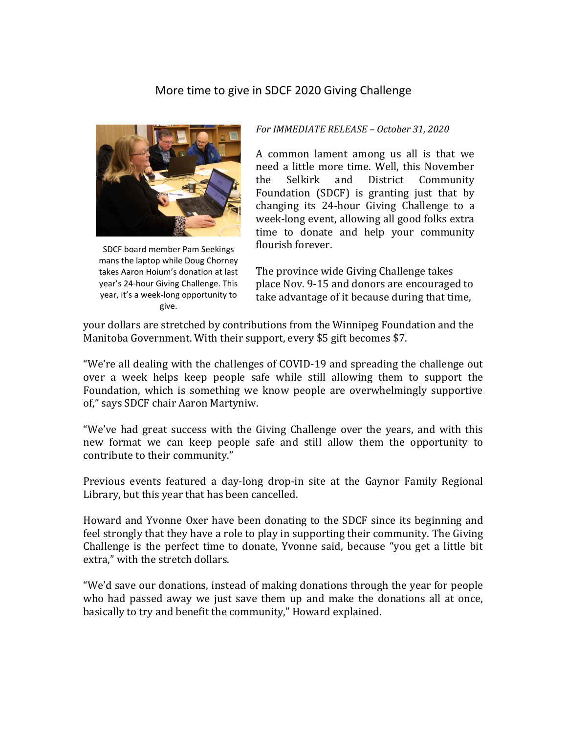## More time to give in SDCF 2020 Giving Challenge



SDCF board member Pam Seekings mans the laptop while Doug Chorney takes Aaron Hoium's donation at last year's 24-hour Giving Challenge. This year, it's a week-long opportunity to give.

## *For IMMEDIATE RELEASE – October 31, 2020*

A common lament among us all is that we need a little more time. Well, this November the Selkirk and District Community Foundation (SDCF) is granting just that by changing its 24-hour Giving Challenge to a week-long event, allowing all good folks extra time to donate and help your community flourish forever.

The province wide Giving Challenge takes place Nov. 9-15 and donors are encouraged to take advantage of it because during that time,

your dollars are stretched by contributions from the Winnipeg Foundation and the Manitoba Government. With their support, every \$5 gift becomes \$7.

"We're all dealing with the challenges of COVID-19 and spreading the challenge out over a week helps keep people safe while still allowing them to support the Foundation, which is something we know people are overwhelmingly supportive of," says SDCF chair Aaron Martyniw.

"We've had great success with the Giving Challenge over the years, and with this new format we can keep people safe and still allow them the opportunity to contribute to their community."

Previous events featured a day-long drop-in site at the Gaynor Family Regional Library, but this year that has been cancelled.

Howard and Yvonne Oxer have been donating to the SDCF since its beginning and feel strongly that they have a role to play in supporting their community. The Giving Challenge is the perfect time to donate, Yvonne said, because "you get a little bit extra," with the stretch dollars.

"We'd save our donations, instead of making donations through the year for people who had passed away we just save them up and make the donations all at once, basically to try and benefit the community," Howard explained.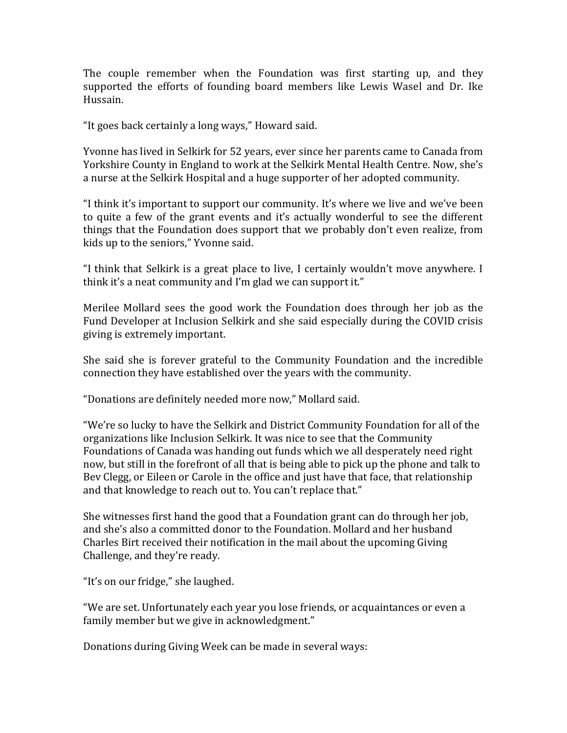The couple remember when the Foundation was first starting up, and they supported the efforts of founding board members like Lewis Wasel and Dr. Ike Hussain.

"It goes back certainly a long ways," Howard said.

Yvonne has lived in Selkirk for 52 years, ever since her parents came to Canada from Yorkshire County in England to work at the Selkirk Mental Health Centre. Now, she's a nurse at the Selkirk Hospital and a huge supporter of her adopted community.

"I think it's important to support our community. It's where we live and we've been to quite a few of the grant events and it's actually wonderful to see the different things that the Foundation does support that we probably don't even realize, from kids up to the seniors," Yvonne said.

"I think that Selkirk is a great place to live, I certainly wouldn't move anywhere. I think it's a neat community and I'm glad we can support it."

Merilee Mollard sees the good work the Foundation does through her job as the Fund Developer at Inclusion Selkirk and she said especially during the COVID crisis giving is extremely important.

She said she is forever grateful to the Community Foundation and the incredible connection they have established over the years with the community.

"Donations are definitely needed more now," Mollard said.

"We're so lucky to have the Selkirk and District Community Foundation for all of the organizations like Inclusion Selkirk. It was nice to see that the Community Foundations of Canada was handing out funds which we all desperately need right now, but still in the forefront of all that is being able to pick up the phone and talk to Bev Clegg, or Eileen or Carole in the office and just have that face, that relationship and that knowledge to reach out to. You can't replace that."

She witnesses first hand the good that a Foundation grant can do through her job, and she's also a committed donor to the Foundation. Mollard and her husband Charles Birt received their notification in the mail about the upcoming Giving Challenge, and they're ready.

"It's on our fridge," she laughed.

"We are set. Unfortunately each year you lose friends, or acquaintances or even a family member but we give in acknowledgment."

Donations during Giving Week can be made in several ways: